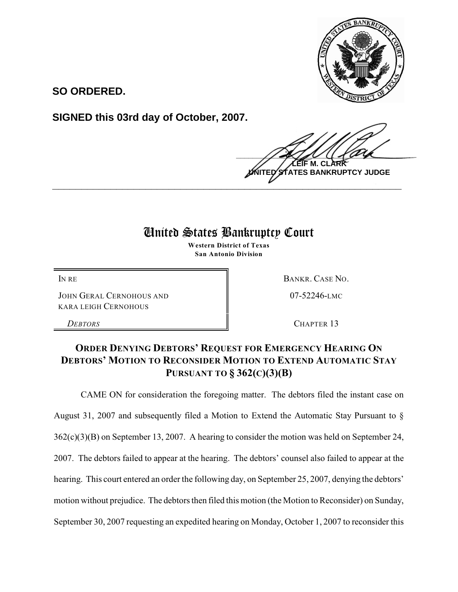

**SO ORDERED.**

**SIGNED this 03rd day of October, 2007.**

 $\frac{1}{2}$ **LEIF M. CLARK ES BANKRUPTCY JUDGE \_\_\_\_\_\_\_\_\_\_\_\_\_\_\_\_\_\_\_\_\_\_\_\_\_\_\_\_\_\_\_\_\_\_\_\_\_\_\_\_\_\_\_\_\_\_\_\_\_\_\_\_\_\_\_\_\_\_\_\_**

## United States Bankruptcy Court

**Western District of Texas San Antonio Division**

JOHN GERAL CERNOHOUS AND KARA LEIGH CERNOHOUS

IN RE BANKR. CASE NO.

07-52246-LMC

*DEBTORS* CHAPTER 13

## **ORDER DENYING DEBTORS' REQUEST FOR EMERGENCY HEARING ON DEBTORS' MOTION TO RECONSIDER MOTION TO EXTEND AUTOMATIC STAY PURSUANT TO § 362(C)(3)(B)**

CAME ON for consideration the foregoing matter. The debtors filed the instant case on August 31, 2007 and subsequently filed a Motion to Extend the Automatic Stay Pursuant to § 362(c)(3)(B) on September 13, 2007. A hearing to consider the motion was held on September 24, 2007. The debtors failed to appear at the hearing. The debtors' counsel also failed to appear at the hearing. This court entered an order the following day, on September 25, 2007, denying the debtors' motion without prejudice. The debtors then filed this motion (the Motion to Reconsider) on Sunday, September 30, 2007 requesting an expedited hearing on Monday, October 1, 2007 to reconsider this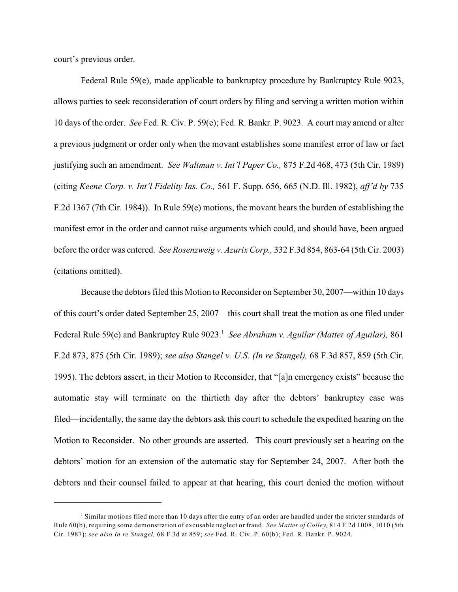court's previous order.

Federal Rule 59(e), made applicable to bankruptcy procedure by Bankruptcy Rule 9023, allows parties to seek reconsideration of court orders by filing and serving a written motion within 10 days of the order. *See* Fed. R. Civ. P. 59(e); Fed. R. Bankr. P. 9023. A court may amend or alter a previous judgment or order only when the movant establishes some manifest error of law or fact justifying such an amendment. *See Waltman v. Int'l Paper Co.,* 875 F.2d 468, 473 (5th Cir. 1989) (citing *Keene Corp. v. Int'l Fidelity Ins. Co.,* 561 F. Supp. 656, 665 (N.D. Ill. 1982), *aff'd by* 735 F.2d 1367 (7th Cir. 1984)). In Rule 59(e) motions, the movant bears the burden of establishing the manifest error in the order and cannot raise arguments which could, and should have, been argued before the order was entered. *See Rosenzweig v. Azurix Corp.,* 332 F.3d 854, 863-64 (5th Cir. 2003) (citations omitted).

Because the debtors filed this Motion to Reconsider on September 30, 2007—within 10 days of this court's order dated September 25, 2007—this court shall treat the motion as one filed under Federal Rule 59(e) and Bankruptcy Rule 9023. *See Abraham v. Aguilar (Matter of Aguilar),* 861 <sup>1</sup> F.2d 873, 875 (5th Cir. 1989); *see also Stangel v. U.S. (In re Stangel),* 68 F.3d 857, 859 (5th Cir. 1995). The debtors assert, in their Motion to Reconsider, that "[a]n emergency exists" because the automatic stay will terminate on the thirtieth day after the debtors' bankruptcy case was filed—incidentally, the same day the debtors ask this court to schedule the expedited hearing on the Motion to Reconsider. No other grounds are asserted. This court previously set a hearing on the debtors' motion for an extension of the automatic stay for September 24, 2007. After both the debtors and their counsel failed to appear at that hearing, this court denied the motion without

 $<sup>1</sup>$  Similar motions filed more than 10 days after the entry of an order are handled under the stricter standards of</sup> Rule 60(b), requiring some demonstration of excusable neglect or fraud. *See Matter of Colley,* 814 F.2d 1008, 1010 (5th Cir. 1987); *see also In re Stangel,* 68 F.3d at 859; *see* Fed. R. Civ. P. 60(b); Fed. R. Bankr. P. 9024.